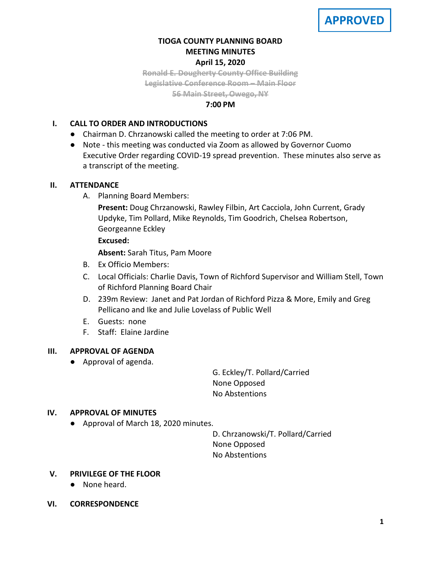# **TIOGA COUNTY PLANNING BOARD MEETING MINUTES April 15, 2020**

**Ronald E. Dougherty County Office Building Legislative Conference Room – Main Floor**

**56 Main Street, Owego, NY**

# **7:00 PM**

# **I. CALL TO ORDER AND INTRODUCTIONS**

- Chairman D. Chrzanowski called the meeting to order at 7:06 PM.
- Note this meeting was conducted via Zoom as allowed by Governor Cuomo Executive Order regarding COVID-19 spread prevention. These minutes also serve as a transcript of the meeting.

# **II. ATTENDANCE**

A. Planning Board Members:

**Present:** Doug Chrzanowski, Rawley Filbin, Art Cacciola, John Current, Grady Updyke, Tim Pollard, Mike Reynolds, Tim Goodrich, Chelsea Robertson, Georgeanne Eckley

# **Excused:**

**Absent:** Sarah Titus, Pam Moore

- B. Ex Officio Members:
- C. Local Officials: Charlie Davis, Town of Richford Supervisor and William Stell, Town of Richford Planning Board Chair
- D. 239m Review: Janet and Pat Jordan of Richford Pizza & More, Emily and Greg Pellicano and Ike and Julie Lovelass of Public Well
- E. Guests: none
- F. Staff: Elaine Jardine

# **III. APPROVAL OF AGENDA**

● Approval of agenda.

G. Eckley/T. Pollard/Carried None Opposed No Abstentions

# **IV. APPROVAL OF MINUTES**

● Approval of March 18, 2020 minutes.

D. Chrzanowski/T. Pollard/Carried None Opposed No Abstentions

# **V. PRIVILEGE OF THE FLOOR**

- None heard.
- **VI. CORRESPONDENCE**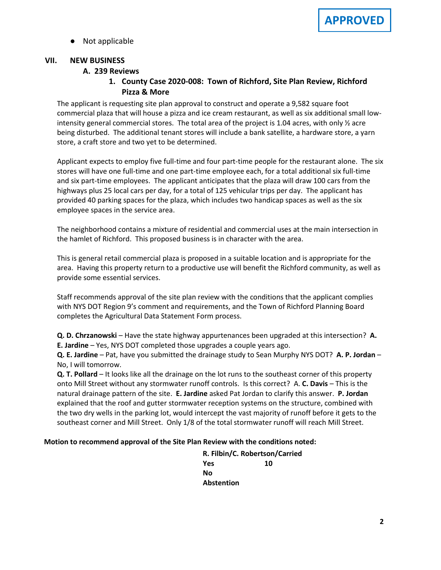Not applicable

### **VII. NEW BUSINESS**

### **A. A. 239 Reviews**

# **1. County Case 2020-008: Town of Richford, Site Plan Review, Richford Pizza & More**

The applicant is requesting site plan approval to construct and operate a 9,582 square foot commercial plaza that will house a pizza and ice cream restaurant, as well as six additional small lowintensity general commercial stores. The total area of the project is 1.04 acres, with only ½ acre being disturbed. The additional tenant stores will include a bank satellite, a hardware store, a yarn store, a craft store and two yet to be determined.

Applicant expects to employ five full-time and four part-time people for the restaurant alone. The six stores will have one full-time and one part-time employee each, for a total additional six full-time and six part-time employees. The applicant anticipates that the plaza will draw 100 cars from the highways plus 25 local cars per day, for a total of 125 vehicular trips per day. The applicant has provided 40 parking spaces for the plaza, which includes two handicap spaces as well as the six employee spaces in the service area.

The neighborhood contains a mixture of residential and commercial uses at the main intersection in the hamlet of Richford. This proposed business is in character with the area.

This is general retail commercial plaza is proposed in a suitable location and is appropriate for the area. Having this property return to a productive use will benefit the Richford community, as well as provide some essential services.

Staff recommends approval of the site plan review with the conditions that the applicant complies with NYS DOT Region 9's comment and requirements, and the Town of Richford Planning Board completes the Agricultural Data Statement Form process.

**Q. D. Chrzanowski** – Have the state highway appurtenances been upgraded at this intersection? **A. E. Jardine** – Yes, NYS DOT completed those upgrades a couple years ago.

**Q. E. Jardine** – Pat, have you submitted the drainage study to Sean Murphy NYS DOT? **A. P. Jordan** – No, I will tomorrow.

**Q. T. Pollard** – It looks like all the drainage on the lot runs to the southeast corner of this property onto Mill Street without any stormwater runoff controls. Is this correct? A. **C. Davis** – This is the natural drainage pattern of the site. **E. Jardine** asked Pat Jordan to clarify this answer. **P. Jordan** explained that the roof and gutter stormwater reception systems on the structure, combined with the two dry wells in the parking lot, would intercept the vast majority of runoff before it gets to the southeast corner and Mill Street. Only 1/8 of the total stormwater runoff will reach Mill Street.

#### **Motion to recommend approval of the Site Plan Review with the conditions noted:**

**R. Filbin/C. Robertson/Carried Yes 10 No Abstention**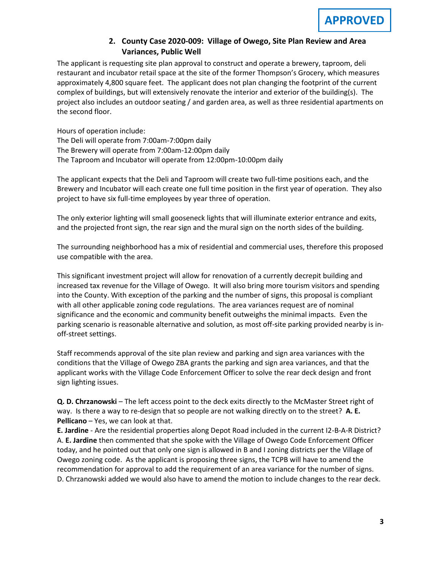# **2. County Case 2020-009: Village of Owego, Site Plan Review and Area Variances, Public Well**

The applicant is requesting site plan approval to construct and operate a brewery, taproom, deli restaurant and incubator retail space at the site of the former Thompson's Grocery, which measures approximately 4,800 square feet. The applicant does not plan changing the footprint of the current complex of buildings, but will extensively renovate the interior and exterior of the building(s). The project also includes an outdoor seating / and garden area, as well as three residential apartments on the second floor.

Hours of operation include: The Deli will operate from 7:00am-7:00pm daily The Brewery will operate from 7:00am-12:00pm daily The Taproom and Incubator will operate from 12:00pm-10:00pm daily

The applicant expects that the Deli and Taproom will create two full-time positions each, and the Brewery and Incubator will each create one full time position in the first year of operation. They also project to have six full-time employees by year three of operation.

The only exterior lighting will small gooseneck lights that will illuminate exterior entrance and exits, and the projected front sign, the rear sign and the mural sign on the north sides of the building.

The surrounding neighborhood has a mix of residential and commercial uses, therefore this proposed use compatible with the area.

This significant investment project will allow for renovation of a currently decrepit building and increased tax revenue for the Village of Owego. It will also bring more tourism visitors and spending into the County. With exception of the parking and the number of signs, this proposal is compliant with all other applicable zoning code regulations. The area variances request are of nominal significance and the economic and community benefit outweighs the minimal impacts. Even the parking scenario is reasonable alternative and solution, as most off-site parking provided nearby is inoff-street settings.

Staff recommends approval of the site plan review and parking and sign area variances with the conditions that the Village of Owego ZBA grants the parking and sign area variances, and that the applicant works with the Village Code Enforcement Officer to solve the rear deck design and front sign lighting issues.

**Q. D. Chrzanowski** – The left access point to the deck exits directly to the McMaster Street right of way. Is there a way to re-design that so people are not walking directly on to the street? **A. E. Pellicano** – Yes, we can look at that.

**E. Jardine** - Are the residential properties along Depot Road included in the current I2-B-A-R District? A. **E. Jardine** then commented that she spoke with the Village of Owego Code Enforcement Officer today, and he pointed out that only one sign is allowed in B and I zoning districts per the Village of Owego zoning code. As the applicant is proposing three signs, the TCPB will have to amend the recommendation for approval to add the requirement of an area variance for the number of signs. D. Chrzanowski added we would also have to amend the motion to include changes to the rear deck.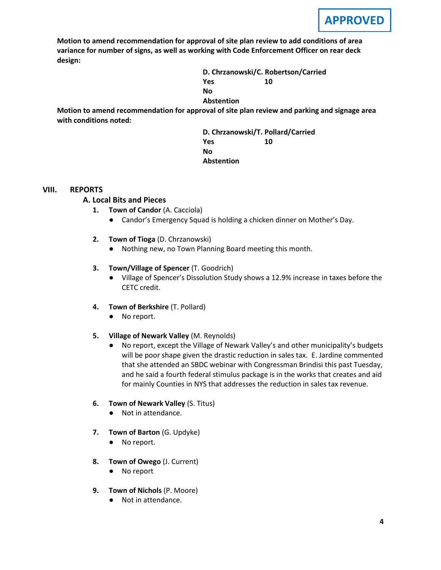**Motion to amend recommendation for approval of site plan review to add conditions of area variance for number of signs, as well as working with Code Enforcement Officer on rear deck design:**

> **D. Chrzanowski/C. Robertson/Carried Yes 10 No Abstention**

**Motion to amend recommendation for approval of site plan review and parking and signage area with conditions noted:**

> **D. Chrzanowski/T. Pollard/Carried Yes 10 No Abstention**

#### **VIII. REPORTS**

### **A. A. Local Bits and Pieces**

- **1. Town of Candor** (A. Cacciola)
	- Candor's Emergency Squad is holding a chicken dinner on Mother's Day.
- **2. Town of Tioga** (D. Chrzanowski)
	- Nothing new, no Town Planning Board meeting this month.

#### **3. Town/Village of Spencer** (T. Goodrich)

- Village of Spencer's Dissolution Study shows a 12.9% increase in taxes before the CETC credit.
- **4. Town of Berkshire** (T. Pollard)
	- No report.

#### **5. Village of Newark Valley** (M. Reynolds)

● No report, except the Village of Newark Valley's and other municipality's budgets will be poor shape given the drastic reduction in sales tax. E. Jardine commented that she attended an SBDC webinar with Congressman Brindisi this past Tuesday, and he said a fourth federal stimulus package is in the works that creates and aid for mainly Counties in NYS that addresses the reduction in sales tax revenue.

#### **6. Town of Newark Valley** (S. Titus)

- Not in attendance.
- **7. Town of Barton** (G. Updyke)
	- No report.
- **8. Town of Owego** (J. Current)
	- No report
- **9. Town of Nichols** (P. Moore)
	- Not in attendance.